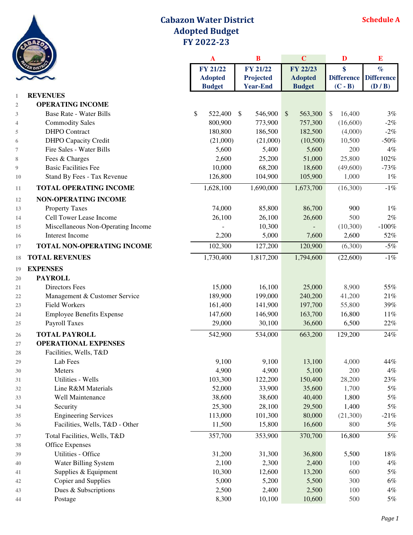

## **Cabazon Water District Adopted Budget FY 2022-23**

|                |                                    | A              | $\bf{B}$                 | $\mathbf C$        | D                       | $\bf{E}$          |  |
|----------------|------------------------------------|----------------|--------------------------|--------------------|-------------------------|-------------------|--|
|                |                                    | FY 21/22       | <b>FY 21/22</b>          | FY 22/23           | \$                      | $\%$              |  |
|                |                                    | <b>Adopted</b> | <b>Projected</b>         | <b>Adopted</b>     | <b>Difference</b>       | <b>Difference</b> |  |
|                |                                    | <b>Budget</b>  | <b>Year-End</b>          | <b>Budget</b>      | $(C - B)$               | (D/B)             |  |
| 1              | <b>REVENUES</b>                    |                |                          |                    |                         |                   |  |
| $\overline{2}$ | <b>OPERATING INCOME</b>            |                |                          |                    |                         |                   |  |
| 3              | <b>Base Rate - Water Bills</b>     | \$<br>522,400  | 546,900<br>$\mathcal{S}$ | $\sqrt$<br>563,300 | 16,400<br>$\mathcal{S}$ | 3%                |  |
| 4              | <b>Commodity Sales</b>             | 800,900        | 773,900                  | 757,300            | (16,600)                | $-2%$             |  |
| 5              | <b>DHPO</b> Contract               | 180,800        | 186,500                  | 182,500            | (4,000)                 | $-2%$             |  |
| 6              | <b>DHPO</b> Capacity Credit        | (21,000)       | (21,000)                 | (10,500)           | 10,500                  | $-50\%$           |  |
| 7              | Fire Sales - Water Bills           | 5,600          | 5,400                    | 5,600              | 200                     | $4\%$             |  |
| 8              | Fees & Charges                     | 2,600          | 25,200                   | 51,000             | 25,800                  | $102\%$           |  |
| 9              | <b>Basic Facilities Fee</b>        | 10,000         | 68,200                   | 18,600             | (49,600)                | $-73%$            |  |
| 10             | Stand By Fees - Tax Revenue        | 126,800        | 104,900                  | 105,900            | 1,000                   | $1\%$             |  |
| 11             | <b>TOTAL OPERATING INCOME</b>      | 1,628,100      | 1,690,000                | 1,673,700          | (16,300)                | $-1\%$            |  |
| 12             | <b>NON-OPERATING INCOME</b>        |                |                          |                    |                         |                   |  |
| 13             | <b>Property Taxes</b>              | 74,000         | 85,800                   | 86,700             | 900                     | $1\%$             |  |
| 14             | Cell Tower Lease Income            | 26,100         | 26,100                   | 26,600             | 500                     | $2\%$             |  |
| 15             | Miscellaneous Non-Operating Income |                | 10,300                   |                    | (10, 300)               | $-100\%$          |  |
| 16             | Interest Income                    | 2,200          | 5,000                    | 7,600              | 2,600                   | 52%               |  |
| 17             | TOTAL NON-OPERATING INCOME         | 102,300        | 127,200                  | 120,900            | (6,300)                 | $-5%$             |  |
| 18             | <b>TOTAL REVENUES</b>              | 1,730,400      | 1,817,200                | 1,794,600          | (22,600)                | $-1\%$            |  |
| 19             | <b>EXPENSES</b>                    |                |                          |                    |                         |                   |  |
| 20             | <b>PAYROLL</b>                     |                |                          |                    |                         |                   |  |
| 21             | <b>Directors Fees</b>              | 15,000         | 16,100                   | 25,000             | 8,900                   | 55%               |  |
| 22             | Management & Customer Service      | 189,900        | 199,000                  | 240,200            | 41,200                  | 21%               |  |
| 23             | <b>Field Workers</b>               | 161,400        | 141,900                  | 197,700            | 55,800                  | 39%               |  |
| 24             | <b>Employee Benefits Expense</b>   | 147,600        | 146,900                  | 163,700            | 16,800                  | $11\%$            |  |
| 25             | Payroll Taxes                      | 29,000         | 30,100                   | 36,600             | 6,500                   | 22%               |  |
| 26             | <b>TOTAL PAYROLL</b>               | 542,900        | 534,000                  | 663,200            | 129,200                 | 24%               |  |
| 27             | <b>OPERATIONAL EXPENSES</b>        |                |                          |                    |                         |                   |  |
| 28             | Facilities, Wells, T&D             |                |                          |                    |                         |                   |  |
| 29             | Lab Fees                           | 9,100          | 9,100                    | 13,100             | 4,000                   | 44%               |  |
| 30             | Meters                             | 4,900          | 4,900                    | 5,100              | 200                     | $4\%$             |  |
| 31             | Utilities - Wells                  | 103,300        | 122,200                  | 150,400            | 28,200                  | 23%               |  |
| 32             | Line R&M Materials                 | 52,000         | 33,900                   | 35,600             | 1,700                   | $5\%$             |  |
| 33             | Well Maintenance                   | 38,600         | 38,600                   | 40,400             | 1,800                   | $5\%$             |  |
| 34             | Security                           | 25,300         | 28,100                   | 29,500             | 1,400                   | $5\%$             |  |
| 35             | <b>Engineering Services</b>        | 113,000        | 101,300                  | 80,000             | (21,300)                | $-21%$            |  |
| 36             | Facilities, Wells, T&D - Other     | 11,500         | 15,800                   | 16,600             | 800                     | $5\%$             |  |
| 37             | Total Facilities, Wells, T&D       | 357,700        | 353,900                  | 370,700            | 16,800                  | $5\%$             |  |
| 38             | Office Expenses                    |                |                          |                    |                         |                   |  |
| 39             | Utilities - Office                 | 31,200         | 31,300                   | 36,800             | 5,500                   | $18\%$            |  |
| 40             | Water Billing System               | 2,100          | 2,300                    | 2,400              | 100                     | $4\%$             |  |
| 41             | Supplies & Equipment               | 10,300         | 12,600                   | 13,200             | 600                     | $5\%$             |  |
| 42             | Copier and Supplies                | 5,000          | 5,200                    | 5,500              | 300                     | $6\%$             |  |
| 43             | Dues & Subscriptions               | 2,500          | 2,400                    | 2,500              | 100                     | $4\%$             |  |
| 44             | Postage                            | 8,300          | 10,100                   | 10,600             | 500                     | $5\%$             |  |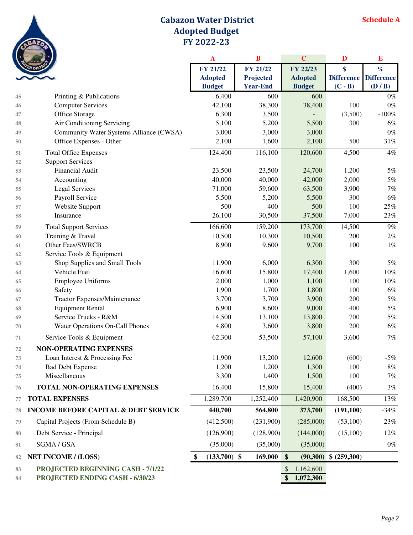

## **Cabazon Water District Adopted Budget FY 2022-23**

|        |                                                 | $\mathbf{A}$         | B               | $\mathbf C$     | D            | E                     |
|--------|-------------------------------------------------|----------------------|-----------------|-----------------|--------------|-----------------------|
|        |                                                 | <b>FY 21/22</b>      | FY 21/22        | FY 22/23        | \$           | $\%$                  |
|        |                                                 | <b>Adopted</b>       | Projected       | <b>Adopted</b>  |              | Difference Difference |
|        |                                                 | <b>Budget</b>        | <b>Year-End</b> | <b>Budget</b>   | $(C - B)$    | (D / B)               |
| 45     | Printing & Publications                         | 6,400                | 600             | 600             |              | $0\%$                 |
| 46     | <b>Computer Services</b>                        | 42,100               | 38,300          | 38,400          | 100          | $0\%$                 |
| 47     | Office Storage                                  | 6,300                | 3,500           |                 | (3,500)      | $-100\%$              |
| 48     | Air Conditioning Servicing                      | 5,100                | 5,200           | 5,500           | 300          | 6%                    |
| 49     | Community Water Systems Alliance (CWSA)         | 3,000                | 3,000           | 3,000           |              | $0\%$                 |
| 50     | Office Expenses - Other                         | 2,100                | 1,600           | 2,100           | 500          | $31\%$                |
| 51     | <b>Total Office Expenses</b>                    | 124,400              | 116,100         | 120,600         | 4,500        | $4\%$                 |
| 52     | <b>Support Services</b>                         |                      |                 |                 |              |                       |
| 53     | Financial Audit                                 | 23,500               | 23,500          | 24,700          | 1,200        | 5%                    |
| 54     | Accounting                                      | 40,000               | 40,000          | 42,000          | 2,000        | $5\%$                 |
| 55     | <b>Legal Services</b>                           | 71,000               | 59,600          | 63,500          | 3,900        | $7\%$                 |
| 56     | Payroll Service                                 | 5,500                | 5,200           | 5,500           | 300          | $6\%$                 |
| 57     | Website Support                                 | 500                  | 400             | 500             | 100          | $25\%$                |
| 58     | Insurance                                       | 26,100               | 30,500          | 37,500          | 7,000        | $23\%$                |
| 59     | <b>Total Support Services</b>                   | 166,600              | 159,200         | 173,700         | 14,500       | $9\%$                 |
| 60     | Training & Travel                               | 10,500               | 10,300          | 10,500          | 200          | $2\%$                 |
| 61     | Other Fees/SWRCB                                | 8,900                | 9,600           | 9,700           | 100          | $1\%$                 |
| 62     | Service Tools & Equipment                       |                      |                 |                 |              |                       |
| 63     | Shop Supplies and Small Tools                   | 11,900               | 6,000           | 6,300           | 300          | 5%                    |
| 64     | Vehicle Fuel                                    | 16,600               | 15,800          | 17,400          | 1,600        | $10\%$                |
| 65     | <b>Employee Uniforms</b>                        | 2,000                | 1,000           | 1,100           | 100          | $10\%$                |
| 66     | Safety                                          | 1,900                | 1,700           | 1,800           | 100          | $6\%$                 |
| 67     | Tractor Expenses/Maintenance                    | 3,700                | 3,700           | 3,900           | 200          | $5\%$                 |
| 68     | <b>Equipment Rental</b>                         | 6,900                | 8,600           | 9,000           | 400          | $5\%$                 |
| 69     | Service Trucks - R&M                            | 14,500               | 13,100          | 13,800          | 700          | $5\%$                 |
| 70     | Water Operations On-Call Phones                 | 4,800                | 3,600           | 3,800           | 200          | 6%                    |
| 71     | Service Tools & Equipment                       | 62,300               | 53,500          | 57,100          | 3,600        | $7\%$                 |
| 72     | <b>NON-OPERATING EXPENSES</b>                   |                      |                 |                 |              |                       |
| 73     | Loan Interest & Processing Fee                  | 11,900               | 13,200          | 12,600          | (600)        | $-5\%$                |
| 74     | <b>Bad Debt Expense</b>                         | 1,200                | 1,200           | 1,300           | 100          | 8%                    |
| 75     | Miscellaneous                                   | 3,300                | 1,400           | 1,500           | 100          | $7\%$                 |
| 76     | <b>TOTAL NON-OPERATING EXPENSES</b>             | 16,400               | 15,800          | 15,400          | (400)        | $-3\%$                |
| 77     | <b>TOTAL EXPENSES</b>                           | 1,289,700            | 1,252,400       | 1,420,900       | 168,500      | 13%                   |
| 78     | <b>INCOME BEFORE CAPITAL &amp; DEBT SERVICE</b> | 440,700              | 564,800         | 373,700         | (191, 100)   | $-34%$                |
| 79     | Capital Projects (From Schedule B)              | (412,500)            | (231,900)       | (285,000)       | (53,100)     | 23%                   |
| $80\,$ | Debt Service - Principal                        | (126,900)            | (128,900)       | (144,000)       | (15,100)     | 12%                   |
| 81     | SGMA / GSA                                      | (35,000)             | (35,000)        | (35,000)        |              | $0\%$                 |
| 82     | <b>NET INCOME / (LOSS)</b>                      | $(133,700)$ \$<br>\$ | 169,000         | \$<br>(90, 300) | \$ (259,300) |                       |
| 83     | PROJECTED BEGINNING CASH - 7/1/22               |                      |                 | 1,162,600<br>\$ |              |                       |
| 84     | PROJECTED ENDING CASH - 6/30/23                 |                      |                 | 1,072,300<br>\$ |              |                       |
|        |                                                 |                      |                 |                 |              |                       |